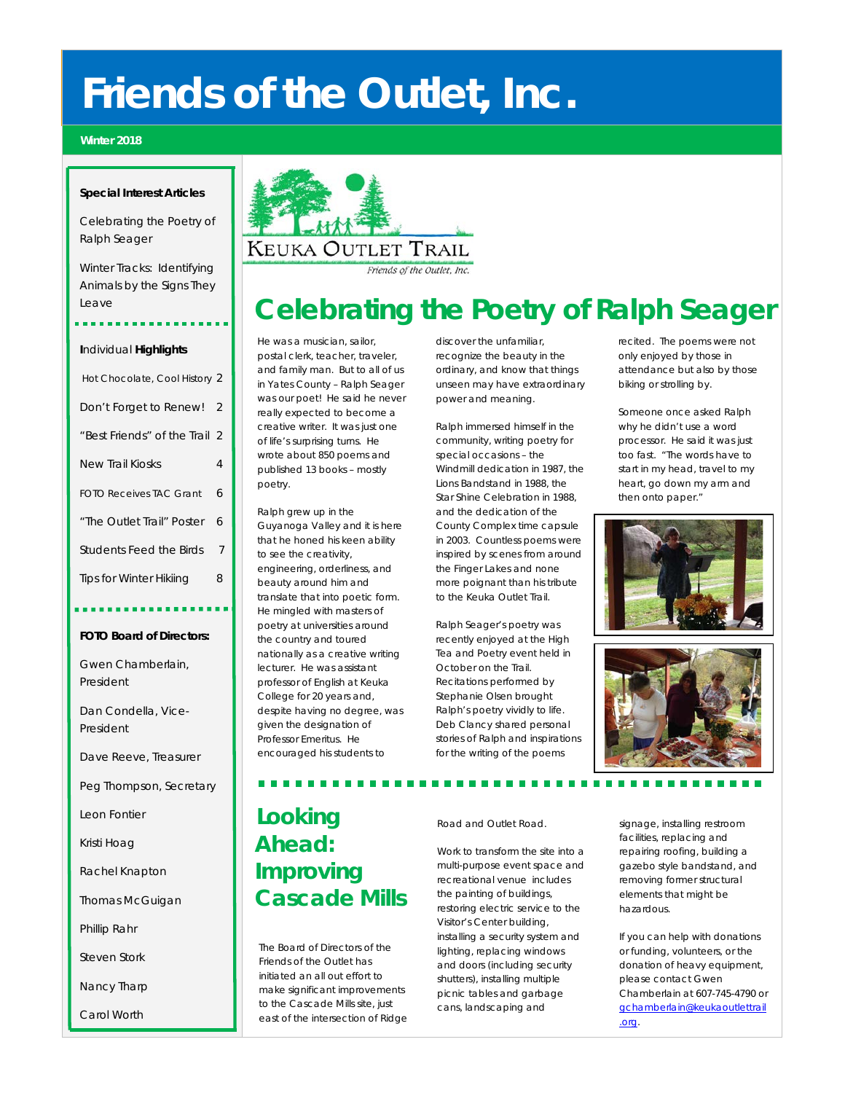### **Friends of the Outlet, Inc.**

#### **Winter 2018**

#### **Special Interest Articles**

Celebrating the Poetry of Ralph Seager

Winter Tracks: Identifying Animals by the Signs They Leave

#### **I**ndividual **Highlights**

| Hot Chocolate, Cool History 2  |                |
|--------------------------------|----------------|
| Don't Forget to Renew!         | $\overline{2}$ |
| "Best Friends" of the Trail 2  |                |
| <b>New Trail Kiosks</b>        | 4              |
| <b>FOTO Receives TAC Grant</b> | 6              |
| "The Outlet Trail" Poster      | 6              |
| Students Feed the Birds        | 7              |
| <b>Tips for Winter Hikiing</b> | 8              |

#### **FOTO Board of Directors:**

Gwen Chamberlain, President

Dan Condella, Vice-President

Dave Reeve, Treasurer

Peg Thompson, Secretary

Leon Fontier

Kristi Hoag

Rachel Knapton

Thomas McGuigan

Phillip Rahr

Steven Stork

Nancy Tharp

Carol Worth



### **Celebrating the Poetry of Ralph Seager**

He was a musician, sailor, postal clerk, teacher, traveler, and family man. But to all of us in Yates County – Ralph Seager was our poet! He said he never really expected to become a creative writer. It was just one of life's surprising turns. He wrote about 850 poems and published 13 books – mostly poetry.

Ralph grew up in the Guyanoga Valley and it is here that he honed his keen ability to see the creativity, engineering, orderliness, and beauty around him and translate that into poetic form. He mingled with masters of poetry at universities around the country and toured nationally as a creative writing lecturer. He was assistant professor of English at Keuka College for 20 years and, despite having no degree, was given the designation of Professor Emeritus. He encouraged his students to

discover the unfamiliar, recognize the beauty in the ordinary, and know that things unseen may have extraordinary power and meaning.

Ralph immersed himself in the community, writing poetry for special occasions – the Windmill dedication in 1987, the Lions Bandstand in 1988, the Star Shine Celebration in 1988, and the dedication of the County Complex time capsule in 2003. Countless poems were inspired by scenes from around the Finger Lakes and none more poignant than his tribute to the Keuka Outlet Trail.

Ralph Seager's poetry was recently enjoyed at the High Tea and Poetry event held in October on the Trail. Recitations performed by Stephanie Olsen brought Ralph's poetry vividly to life. Deb Clancy shared personal stories of Ralph and inspirations for the writing of the poems

recited. The poems were not only enjoyed by those in attendance but also by those biking or strolling by.

Someone once asked Ralph why he didn't use a word processor. He said it was just too fast. "The words have to start in my head, travel to my heart, go down my arm and then onto paper."





### **Looking Ahead: Improving**

The Board of Directors of the Friends of the Outlet has initiated an all out effort to make significant improvements to the Cascade Mills site, just east of the intersection of Ridge

 **Cascade Mills**

Road and Outlet Road.

Work to transform the site into a multi-purpose event space and recreational venue includes the painting of buildings, restoring electric service to the Visitor's Center building, installing a security system and lighting, replacing windows and doors (including security shutters), installing multiple picnic tables and garbage cans, landscaping and

signage, installing restroom facilities, replacing and repairing roofing, building a gazebo style bandstand, and removing former structural elements that might be hazardous.

If you can help with donations or funding, volunteers, or the donation of heavy equipment, please contact Gwen Chamberlain at 607-745-4790 or [gchamberlain@keukaoutlettrail](mailto:gchamberlain@keukaoutlettrail.org) [.org.](mailto:gchamberlain@keukaoutlettrail.org)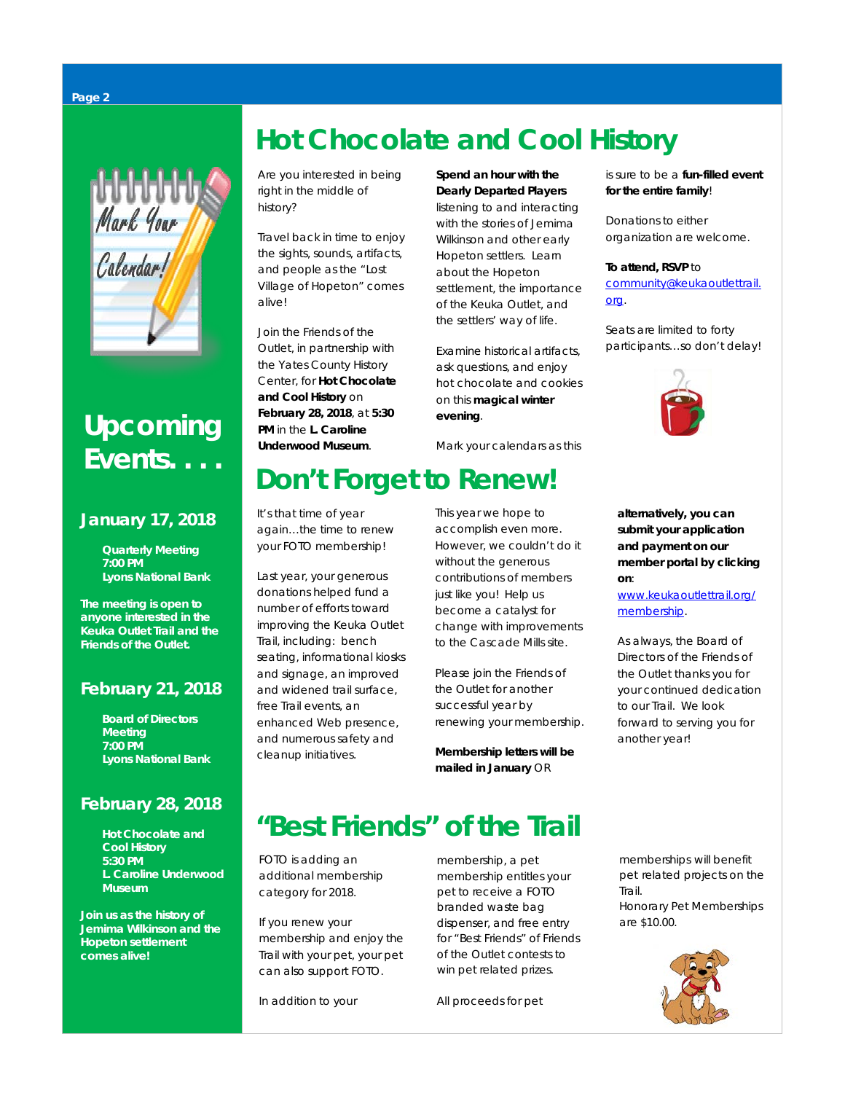# **NUULUU** Calendar!

### **Upcoming Events. . . .**

#### **January 17, 2018**

 **Quarterly Meeting**  *7:00 PM Lyons National Bank*

*The meeting is open to anyone interested in the Keuka Outlet Trail and the Friends of the Outlet.*

### **February 21, 2018**

 **Board of Directors Meeting** *7:00 PM Lyons National Bank*

### **February 28, 2018**

 **Hot Chocolate and Cool History** *5:30 PM L. Caroline Underwood Museum* 

*Join us as the history of Jemima Wilkinson and the Hopeton settlement comes alive!* 

### **Hot Chocolate and Cool History**

Are you interested in being right in the middle of history?

Travel back in time to enjoy the sights, sounds, artifacts, and people as the "Lost Village of Hopeton" comes alive!

Join the Friends of the Outlet, in partnership with the Yates County History Center, for **Hot Chocolate and Cool History** on **February 28, 2018**, at **5:30 PM** in the **L. Caroline Underwood Museum**.

**Spend an hour with the Dearly Departed Players**  listening to and interacting with the stories of Jemima Wilkinson and other early Hopeton settlers. Learn about the Hopeton settlement, the importance of the Keuka Outlet, and the settlers' way of life.

Examine historical artifacts, ask questions, and enjoy hot chocolate and cookies on this **magical winter evening**.

Mark your calendars as this

### **Don't Forget to Renew!**

It's that time of year again…the time to renew your FOTO membership!

Last year, your generous donations helped fund a number of efforts toward improving the Keuka Outlet Trail, including: bench seating, informational kiosks and signage, an improved and widened trail surface, free Trail events, an enhanced Web presence, and numerous safety and cleanup initiatives.

This year we hope to accomplish even more. However, we couldn't do it without the generous contributions of members just like you! Help us become a catalyst for change with improvements to the Cascade Mills site.

Please join the Friends of the Outlet for another successful year by renewing your membership.

**Membership letters will be mailed in January** OR

is sure to be a **fun-filled event** 

[community@keukaoutlettrail.](mailto:community@keukaoutlettrail.org)

**for the entire family**!

Donations to either organization are welcome.

**To attend, RSVP** to

[org.](mailto:community@keukaoutlettrail.org)

**alternatively, you can submit your application and payment on our member portal by clicking on**:

[www.keukaoutlettrail.org/](http://www.keukaoutlettrail.org/membership) [membership.](http://www.keukaoutlettrail.org/membership)

As always, the Board of Directors of the Friends of the Outlet thanks you for your continued dedication to our Trail. We look forward to serving you for another year!

**"Best Friends" of the Trail**

FOTO is adding an additional membership category for 2018.

If you renew your membership and enjoy the Trail with your pet, your pet can also support FOTO.

In addition to your

membership, a pet membership entitles your pet to receive a FOTO branded waste bag dispenser, and free entry for "Best Friends" of Friends of the Outlet contests to win pet related prizes.

All proceeds for pet

memberships will benefit pet related projects on the Trail. Honorary Pet Memberships

are \$10.00.



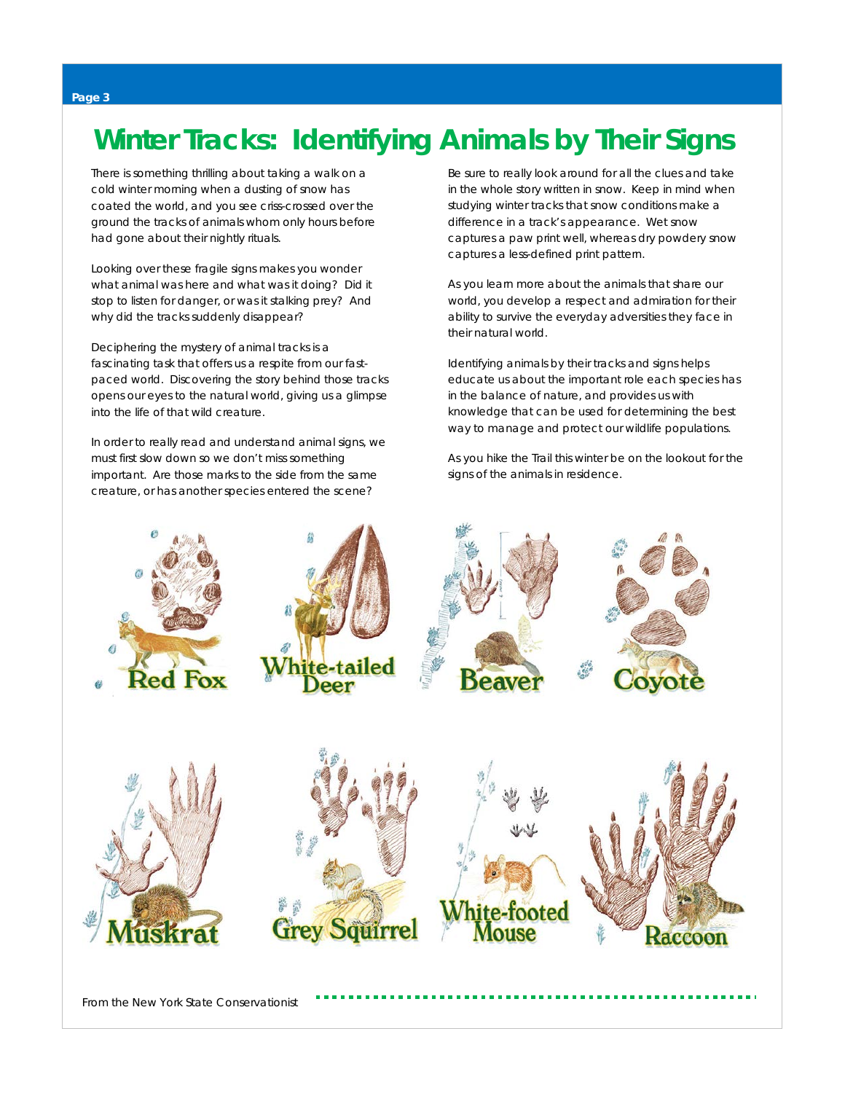### **Winter Tracks: Identifying Animals by Their Signs**

There is something thrilling about taking a walk on a cold winter morning when a dusting of snow has coated the world, and you see criss-crossed over the ground the tracks of animals whom only hours before had gone about their nightly rituals.

Looking over these fragile signs makes you wonder what animal was here and what was it doing? Did it stop to listen for danger, or was it stalking prey? And why did the tracks suddenly disappear?

Deciphering the mystery of animal tracks is a fascinating task that offers us a respite from our fastpaced world. Discovering the story behind those tracks opens our eyes to the natural world, giving us a glimpse into the life of that wild creature.

In order to really read and understand animal signs, we must first slow down so we don't miss something important. Are those marks to the side from the same creature, or has another species entered the scene?

Be sure to really look around for all the clues and take in the whole story written in snow. Keep in mind when studying winter tracks that snow conditions make a difference in a track's appearance. Wet snow captures a paw print well, whereas dry powdery snow captures a less-defined print pattern.

As you learn more about the animals that share our world, you develop a respect and admiration for their ability to survive the everyday adversities they face in their natural world.

Identifying animals by their tracks and signs helps educate us about the important role each species has in the balance of nature, and provides us with knowledge that can be used for determining the best way to manage and protect our wildlife populations.

As you hike the Trail this winter be on the lookout for the signs of the animals in residence.

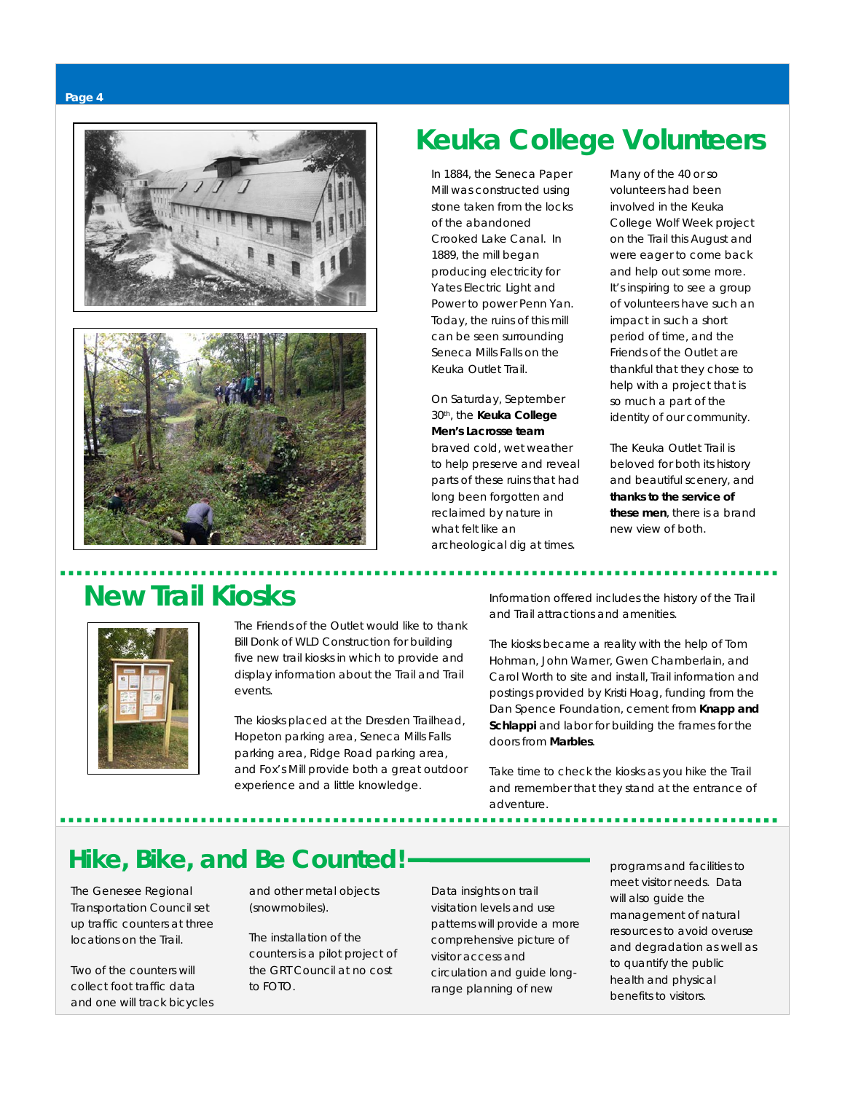





### **Keuka College Volunteers**

In 1884, the Seneca Paper Mill was constructed using stone taken from the locks of the abandoned Crooked Lake Canal. In 1889, the mill began producing electricity for Yates Electric Light and Power to power Penn Yan. Today, the ruins of this mill can be seen surrounding Seneca Mills Falls on the Keuka Outlet Trail.

#### On Saturday, September 30th, the **Keuka College Men's Lacrosse team**

braved cold, wet weather to help preserve and reveal parts of these ruins that had long been forgotten and reclaimed by nature in what felt like an archeological dig at times.

Many of the 40 or so volunteers had been involved in the Keuka College Wolf Week project on the Trail this August and were eager to come back and help out some more. It's inspiring to see a group of volunteers have such an impact in such a short period of time, and the Friends of the Outlet are thankful that they chose to help with a project that is so much a part of the identity of our community.

The Keuka Outlet Trail is beloved for both its history and beautiful scenery, and **thanks to the service of these men**, there is a brand new view of both.

### **New Trail Kiosks**



 The Friends of the Outlet would like to thank Bill Donk of WLD Construction for building five new trail kiosks in which to provide and display information about the Trail and Trail events.

The kiosks placed at the Dresden Trailhead, Hopeton parking area, Seneca Mills Falls parking area, Ridge Road parking area, and Fox's Mill provide both a great outdoor experience and a little knowledge.

Information offered includes the history of the Trail and Trail attractions and amenities.

The kiosks became a reality with the help of Tom Hohman, John Warner, Gwen Chamberlain, and Carol Worth to site and install, Trail information and postings provided by Kristi Hoag, funding from the Dan Spence Foundation, cement from **Knapp and Schlappi** and labor for building the frames for the doors from **Marbles**.

Take time to check the kiosks as you hike the Trail and remember that they stand at the entrance of adventure.

### **Hike, Bike, and Be Counted!**

The Genesee Regional Transportation Council set up traffic counters at three locations on the Trail.

Two of the counters will collect foot traffic data and one will track bicycles and other metal objects (snowmobiles).

The installation of the counters is a pilot project of the GRT Council at no cost to FOTO.

Data insights on trail visitation levels and use patterns will provide a more comprehensive picture of visitor access and circulation and guide longrange planning of new

programs and facilities to meet visitor needs. Data will also guide the management of natural resources to avoid overuse and degradation as well as to quantify the public health and physical benefits to visitors.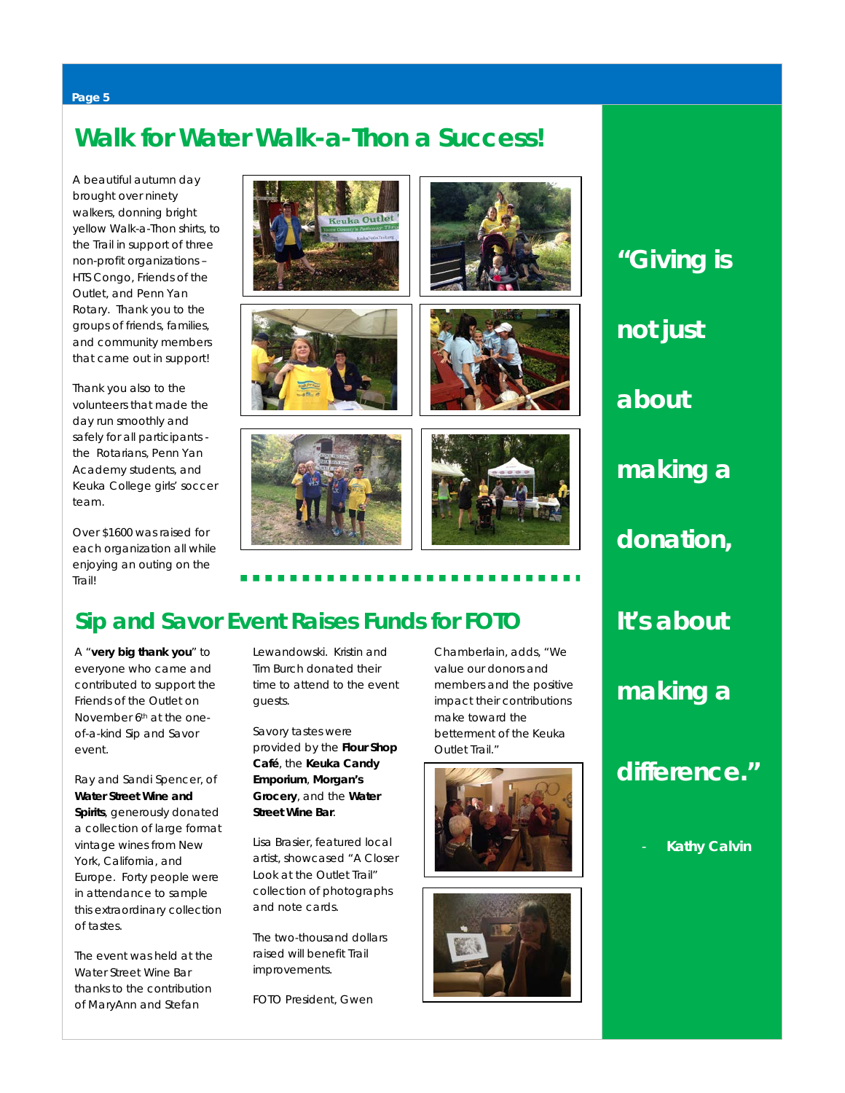#### **Page 5**

### **Walk for Water Walk-a-Thon a Success!**

A beautiful autumn day brought over ninety walkers, donning bright yellow Walk-a-Thon shirts, to the Trail in support of three non-profit organizations – HTS Congo, Friends of the Outlet, and Penn Yan Rotary. Thank you to the groups of friends, families, and community members that came out in support!

Thank you also to the volunteers that made the day run smoothly and safely for all participants the Rotarians, Penn Yan Academy students, and Keuka College girls' soccer team.

Over \$1600 was raised for each organization all while enjoying an outing on the Trail!











### **Sip and Savor Event Raises Funds for FOTO**

A "**very big thank you**" to everyone who came and contributed to support the Friends of the Outlet on November 6<sup>th</sup> at the oneof-a-kind Sip and Savor event.

Ray and Sandi Spencer, of **Water Street Wine and Spirits**, generously donated a collection of large format vintage wines from New York, California, and Europe. Forty people were in attendance to sample this extraordinary collection of tastes.

The event was held at the Water Street Wine Bar thanks to the contribution of MaryAnn and Stefan

Lewandowski. Kristin and Tim Burch donated their time to attend to the event guests.

Savory tastes were provided by the **Flour Shop Café**, the **Keuka Candy Emporium**, **Morgan's Grocery**, and the **Water Street Wine Bar**.

Lisa Brasier, featured local artist, showcased "A Closer Look at the Outlet Trail" collection of photographs and note cards.

The two-thousand dollars raised will benefit Trail improvements.

FOTO President, Gwen

Chamberlain, adds, "We value our donors and members and the positive impact their contributions make toward the betterment of the Keuka Outlet Trail."





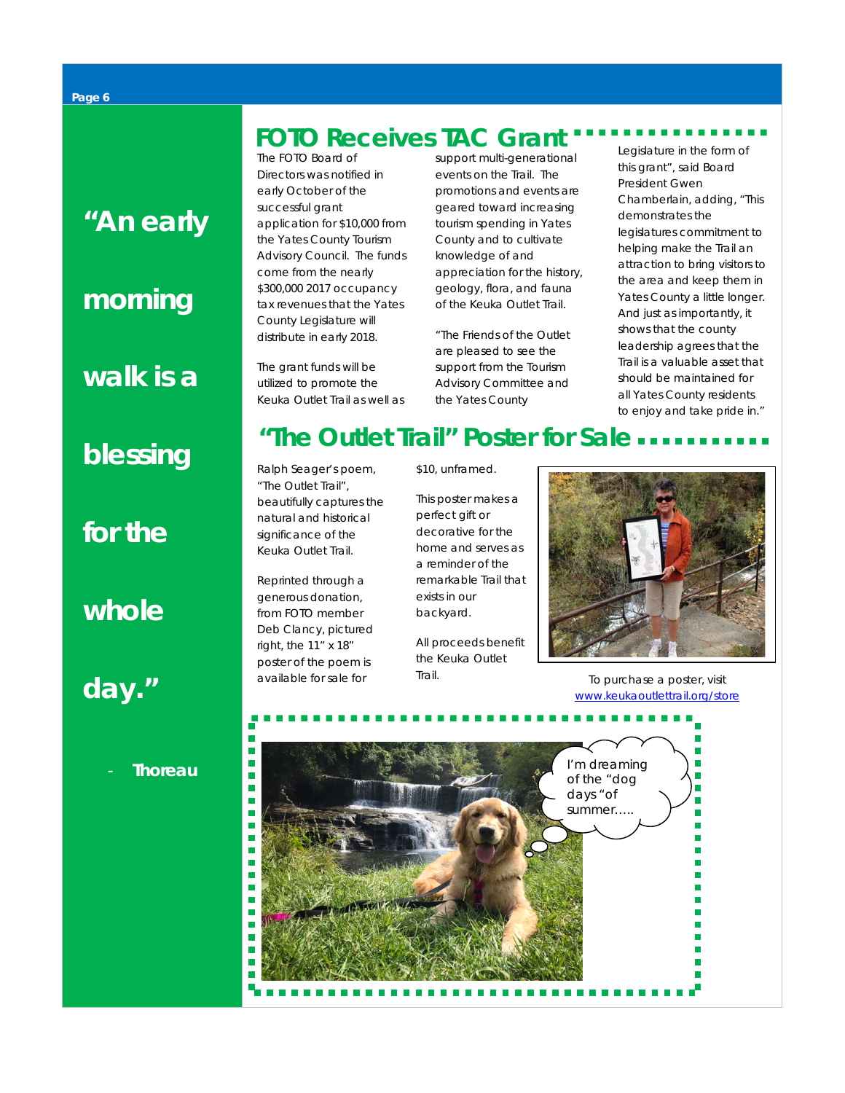*"An early* 

### *morning*

*walk is a* 

### *blessing*

*for the* 

### *whole*

*day."*

### **FOTO Receives TAC Grant**

The FOTO Board of Directors was notified in early October of the successful grant application for \$10,000 from the Yates County Tourism Advisory Council. The funds come from the nearly \$300,000 2017 occupancy tax revenues that the Yates County Legislature will distribute in early 2018.

The grant funds will be utilized to promote the Keuka Outlet Trail as well as support multi-generational events on the Trail. The promotions and events are geared toward increasing tourism spending in Yates County and to cultivate knowledge of and appreciation for the history, geology, flora, and fauna of the Keuka Outlet Trail.

"The Friends of the Outlet are pleased to see the support from the Tourism Advisory Committee and the Yates County

Legislature in the form of this grant", said Board President Gwen Chamberlain, adding, "This demonstrates the legislatures commitment to helping make the Trail an attraction to bring visitors to the area and keep them in Yates County a little longer. And just as importantly, it shows that the county leadership agrees that the Trail is a valuable asset that should be maintained for all Yates County residents to enjoy and take pride in."

### **"The Outlet Trail" Poster for Sale**

Ralph Seager's poem, "The Outlet Trail", beautifully captures the natural and historical significance of the Keuka Outlet Trail.

Reprinted through a generous donation, from FOTO member Deb Clancy, pictured right, the 11" x 18" poster of the poem is available for sale for

\$10, unframed.

This poster makes a perfect gift or decorative for the home and serves as a reminder of the remarkable Trail that exists in our backyard.

All proceeds benefit the Keuka Outlet



Trail. Trail. [www.keukaoutlettrail.org/store](http://www.keukaoutlettrail.org/store)

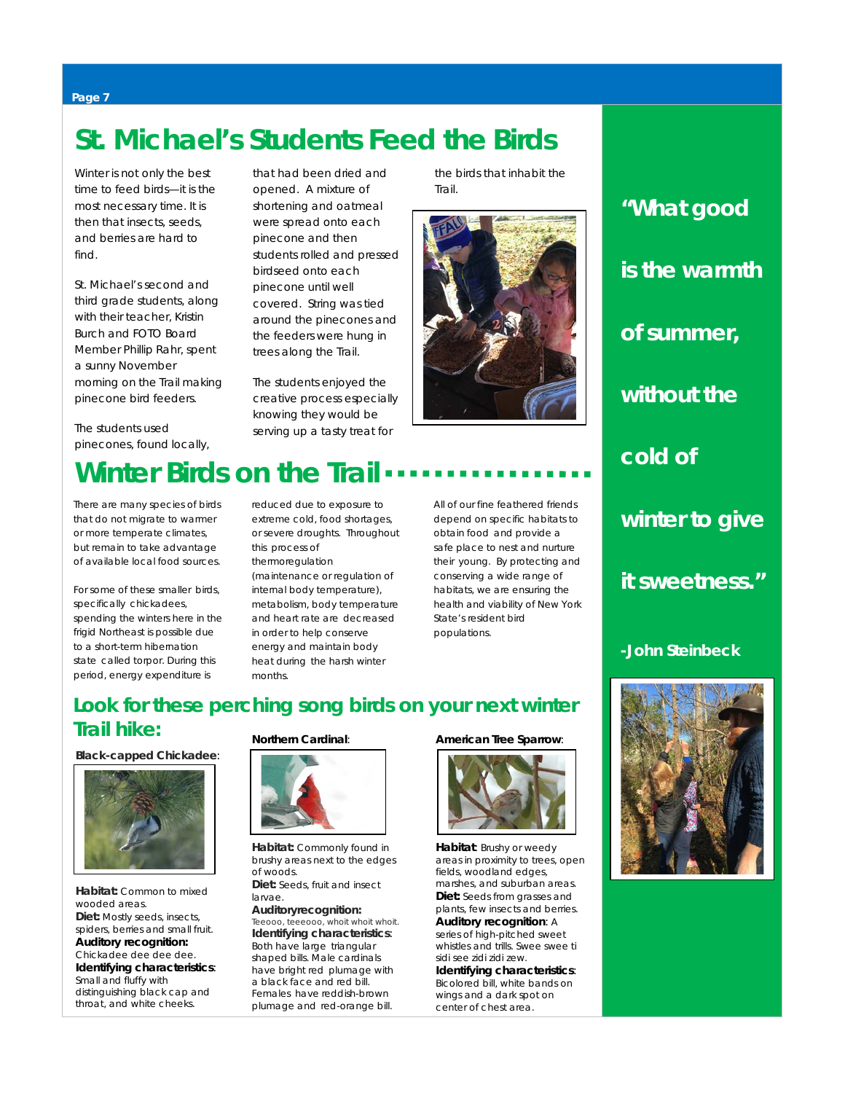### **St. Michael's Students Feed the Birds**

Winter is not only the best time to feed birds—it is the most necessary time. It is then that insects, seeds, and berries are hard to find.

St. Michael's second and third grade students, along with their teacher, Kristin Burch *and* FOTO Board Member Phillip Rahr, spent a sunny November morning on the Trail making pinecone bird feeders.

The students used pinecones, found locally,

that had been dried and opened. A mixture of shortening and oatmeal were spread onto each pinecone and then students rolled and pressed birdseed onto each pinecone until well covered. String was tied around the pinecones and the feeders were hung in trees along the Trail.

The students enjoyed the creative process especially knowing they would be serving up a tasty treat for



the birds that inhabit the

### **Winter Birds on the Trail**

There are many species of birds that do not migrate to warmer or more temperate climates, but remain to take advantage of available local food sources.

For some of these smaller birds, specifically chickadees, spending the winters here in the frigid Northeast is possible due to a short-term hibernation state called *torpor*. During this period, energy expenditure is

reduced due to exposure to extreme cold, food shortages, or severe droughts. Throughout this process of thermoregulation

(maintenance or regulation of internal body temperature), metabolism, body temperature and heart rate are decreased in order to help conserve energy and maintain body heat during the harsh winter months.

All of our fine feathered friends depend on specific habitats to obtain food and provide a safe place to nest and nurture their young. By protecting and conserving a wide range of habitats, we are ensuring the health and viability of New York State's resident bird populations.

### **Look for these perching song birds on your next winter Trail hike:**

#### **Black-capped Chickadee**:



**Habitat:** Common to mixed wooded areas. **Diet:** Mostly seeds, insects, spiders, berries and small fruit. **Auditory recognition:** Chickadee dee dee dee. **Identifying characteristics**: Small and fluffy with distinguishing black cap and throat, and white cheeks.

#### **Northern Cardinal**:



**Habitat:** Commonly found in brushy areas next to the edges of woods.

**Diet:** Seeds, fruit and insect larvae.

**Auditoryrecognition:** *Teeooo, teeeooo, whoit whoit whoit.* **Identifying characteristics**: Both have large triangular shaped bills. Male cardinals have bright red plumage with a black face and red bill. Females have reddish-brown plumage and red-orange bill.

#### **American Tree Sparrow**:



**Habitat**: Brushy or weedy areas in proximity to trees, open fields, woodland edges, marshes, and suburban areas. **Diet:** Seeds from grasses and plants, few insects and berries. **Auditory recognition**: A series of high-pitched sweet whistles and trills*. Swee swee ti sidi see zidi zidi zew.* **Identifying characteristics**: Bicolored bill, white bands on Bicolored bill, writte barids<br>wings and a dark spot on center of chest area.

## *"What good is the warmth of summer, without the cold of winter to give it sweetness."*

*-John Steinbeck*



#### **Page 7**